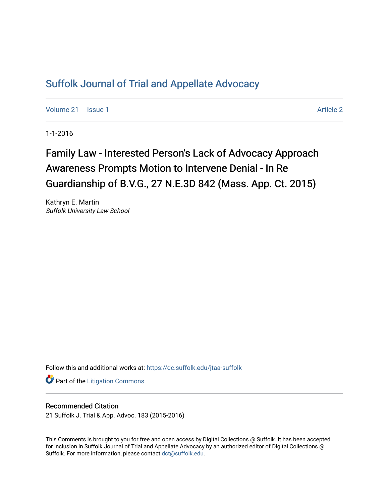## [Suffolk Journal of Trial and Appellate Advocacy](https://dc.suffolk.edu/jtaa-suffolk)

[Volume 21](https://dc.suffolk.edu/jtaa-suffolk/vol21) | [Issue 1](https://dc.suffolk.edu/jtaa-suffolk/vol21/iss1) Article 2

1-1-2016

# Family Law - Interested Person's Lack of Advocacy Approach Awareness Prompts Motion to Intervene Denial - In Re Guardianship of B.V.G., 27 N.E.3D 842 (Mass. App. Ct. 2015)

Kathryn E. Martin Suffolk University Law School

Follow this and additional works at: [https://dc.suffolk.edu/jtaa-suffolk](https://dc.suffolk.edu/jtaa-suffolk?utm_source=dc.suffolk.edu%2Fjtaa-suffolk%2Fvol21%2Fiss1%2F2&utm_medium=PDF&utm_campaign=PDFCoverPages) 

**Part of the [Litigation Commons](https://network.bepress.com/hgg/discipline/910?utm_source=dc.suffolk.edu%2Fjtaa-suffolk%2Fvol21%2Fiss1%2F2&utm_medium=PDF&utm_campaign=PDFCoverPages)** 

### Recommended Citation

21 Suffolk J. Trial & App. Advoc. 183 (2015-2016)

This Comments is brought to you for free and open access by Digital Collections @ Suffolk. It has been accepted for inclusion in Suffolk Journal of Trial and Appellate Advocacy by an authorized editor of Digital Collections @ Suffolk. For more information, please contact [dct@suffolk.edu.](mailto:dct@suffolk.edu)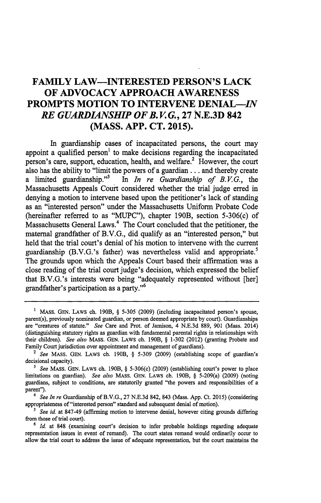### **FAMILY LAW-INTERESTED PERSON'S LACK OF ADVOCACY APPROACH AWARENESS PROMPTS MOTION TO INTERVENE DENIAL-IN** *RE GUARDIANSHIP OF B. V. G.,* **27 N.E.3D 842 (MASS. APP. CT. 2015).**

In guardianship cases of incapacitated persons, the court may appoint a qualified person<sup>1</sup> to make decisions regarding the incapacitated person's care, support, education, health, and welfare.<sup>2</sup> However, the court also has the ability to "limit the powers of a guardian **...** and thereby create a limited guardianship.<sup>33</sup> In *In re Guardianship of B.V.G.*, the Massachusetts Appeals Court considered whether the trial judge erred in denying a motion to intervene based upon the petitioner's lack of standing as an "interested person" under the Massachusetts Uniform Probate Code (hereinafter referred to as **"MUPC"),** chapter 190B, section 5-306(c) of Massachusetts General Laws.<sup>4</sup> The Court concluded that the petitioner, the maternal grandfather of B.V.G., did qualify as an "interested person," but held that the trial court's denial of his motion to intervene with the current guardianship (B.V.G.'s father) was nevertheless valid and appropriate.<sup>5</sup> The grounds upon which the Appeals Court based their affirmation was a close reading of the trial court judge's decision, which expressed the belief that B.V.G.'s interests were being "adequately represented without [her] grandfather's participation as a party."<sup>6</sup>

**<sup>1</sup>** MASS. **GEN. LAWS ch. 190B,** § **5-305 (2009)** (including incapacitated person's spouse, parent(s), previously nominated guardian, or person deemed appropriate **by** court). Guardianships are "creatures of statute." *See* Care and Prot. of Jamison, 4 **N.E.3d 889, 901** (Mass. 2014) (distinguishing statutory rights as guardian with fundamental parental rights in relationships with their children). *See also* MASS. GEN. LAWS ch. 190B, § **1-302** (2012) (granting Probate and Family Court jurisdiction over appointment and management of guardians).

**<sup>2</sup>** *See* MASS. GEN. LAWS ch. 190B, § **5-309 (2009)** (establishing scope of guardian's decisional capacity).

*<sup>3</sup> See* MASS. **GEN.** LAWS ch. 190B, § **5-306(c) (2009)** (establishing court's power to place limitations on guardian). *See also* **MASS. GEN.** LAWS ch. 190B, § 5-209(a) **(2009)** (noting guardians, subject to conditions, are statutorily granted "the powers and responsibilities of a parent").

*<sup>4</sup> See In re* Guardianship of B.V.G., **27 N.E.3d** 842, 843 (Mass. **App.** Ct. **2015)** (considering appropriateness of "interested person" standard and subsequent denial of motion).

<sup>&</sup>lt;sup>5</sup> See id. at 847-49 (affirming motion to intervene denial, however citing grounds differing from those of trial court).

*<sup>6</sup> Id.* at 848 (examining court's decision to infer probable holdings regarding adequate representation issues in event of remand). The court states remand would ordinarily occur to allow the trial court to address the issue of adequate representation, but the court maintains the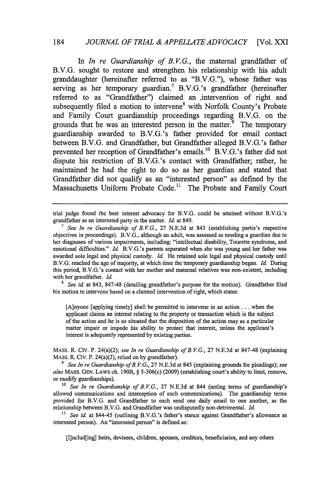### 184 *JOURNAL OF TRIAL & APPELLATE ADVOCACY* [Vol. XXI

In *In re Guardianship of B.V.G.*, the maternal grandfather of B.V.G. sought to restore and strengthen his relationship with his adult granddaughter (hereinafter referred to as "B.V.G."), whose father was serving as her temporary guardian.<sup>7</sup> B.V.G.'s grandfather (hereinafter referred to as "Grandfather") claimed an intervention of right and subsequently filed a motion to intervene<sup>8</sup> with Norfolk County's Probate and Family Court guardianship proceedings regarding B.V.G. on the grounds that he was an interested person in the matter.<sup>9</sup> The temporary guardianship awarded to B.V.G.'s father provided for email contact between B.V.G. and Grandfather, but Grandfather alleged B.V.G.'s father prevented her reception of Grandfather's emails.<sup>10</sup> B.V.G.'s father did not dispute his restriction of B.V,G.'s contact with Grandfather; rather, he maintained he had the right to do so as her guardian and stated that Grandfather did not qualify as an "interested person" as defined **by** the Massachusetts Uniform Probate Code.<sup>11</sup> The Probate and Family Court

<sup>8</sup> See id. at 843, 847-48 (detailing grandfather's purpose for the motion). Grandfather filed his motion to intervene based on a claimed intervention of right, which states:

[A]nyone [applying timely) shall be permitted to intervene in an action.., when the applicant claims an interest relating to the property or transaction which is the subject of the action and he is so situated that the disposition of the action may as a particular matter impair or impede his ability to protect that interest, unless the applicant's interest is adequately represented by existing parties.

MASS. R. Civ. P. 24(a)(2); *see In re Guardianship of B. V.G.,* 27 N.E.3d at 847-48 (explaining MASS. R. Crv. P. 24(a)(2), relied on by grandfather).

*9 See In re Guardianship of B. V.G,,* 27 N.E.3d at 843 (explaining grounds for pleadings); *see* also MASS. GEN. LAWS ch. 190B, § 5-306(c) (2009) (establishing court's ability to limit, remove, or modify guardianships).

<sup>10</sup> *See In re Guardianship of B.V.G.*, 27 N.E.3d at 844 (noting terms of guardianship's allowed communications and interception of such communications). The guardianship terms provided for B.V.G. and Grandfather to each send one daily email to one another, as the relationship between B.V.G. and Grandfather was undisputedly non-detrimental. *Id.*

**"** *See id.* at 844-45 (outlining B.V.G.'s father's stance against Grandfather's allowance as interested person). An "interested person" is defined as:

[I]nclud[ing] heirs, devisees, children, spouses, creditors, beneficiaries, and any others

trial judge found the best interest advocacy for B.V.G. could be attained without B.V.G.'s grandfather as an interested party in the matter. *Id.* at 849.

*<sup>7</sup> See In re Guardianship of B.VG.,* 27 N.E.3d at 843 (establishing partie's respective objectives in proceedings). B.V.G., although an adult, was assessed as needing a guardian due to her diagnoses of various impairments, including: "intellectual disability, Tourette syndrome, and emotional difficulties." *Id.* B.V.G.'s parents separated when she was young and her father was awarded sole legal and physical custody. *Id.* He retained sole legal and physical custody until B.V.G. reached the age of majority, at which time the temporary guardianship began. *Id.* During this period, B.V.G.'s contact with her mother and maternal relatives was non-existent, including with her grandfather. *Id.*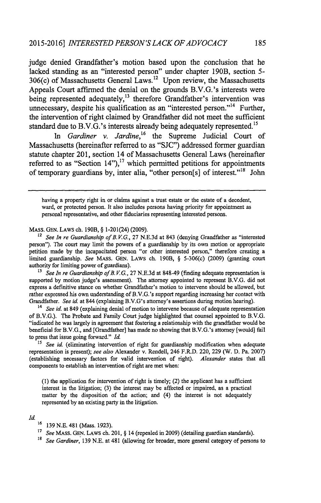judge denied Grandfather's motion based upon the conclusion that he lacked standing as an "interested person" under chapter 190B, section **5-**  $306(c)$  of Massachusetts General Laws.<sup>12</sup> Upon review, the Massachusetts Appeals Court affirmed the denial on the grounds B.V.G.'s interests were being represented adequately,<sup>13</sup> therefore Grandfather's intervention was unnecessary, despite his qualification as an "interested person."<sup>14</sup> Further, the intervention of right claimed **by** Grandfather did not meet the sufficient standard due to B.V.G.'s interests already being adequately represented.<sup>15</sup>

In Gardiner v. Jardine,<sup>16</sup> the Supreme Judicial Court of Massachusetts (hereinafter referred to as **"SJC")** addressed former guardian statute chapter 201, section 14 of Massachusetts General Laws (hereinafter referred to as "Section  $14$ "),<sup>17</sup> which permitted petitions for appointments of temporary guardians **by,** inter alia, "other person[s] of interest.""' John

having a property right in or claims against a trust estate or the estate of a decedent, ward, or protected person. It also includes persons having priority for appointment as personal representative, and other fiduciaries representing interested persons.

### MASS. GEN. LAWS **Ch.** 190B, § 1-201(24) (2009).

<sup>12</sup> See In re Guardianship of B.V.G., 27 N.E.3d at 843 (denying Grandfather as "interested person"). The court may limit the powers of a guardianship by its own motion or appropriate petition made by the incapacitated person "or other interested person," therefore creating a limited guardianship. *See* MASS. GEN. LAWS ch. 190B, § 5-306(c) (2009) (granting court authority for limiting power of guardians).

<sup>13</sup> *See In re Guardianship of B.V.G.*, 27 N.E.3d at 848-49 (finding adequate representation is supported by motion judge's assessment). The attorney appointed to represent B.V.G. did not express a definitive stance on whether Grandfather's motion to intervene should be allowed, but rather expressed his own understanding of B.V.G.'s support regarding increasing her contact with Grandfather. *See id.* at 844 (explaining B.V.G's attorney's assertions during motion hearing).

<sup>14</sup>*See id.* at 849 (explaining denial of motion to intervene because of adequate representation of B.V.G.). The Probate and Family Court judge highlighted that counsel appointed to B.V.G. "indicated he was largely in agreement that fostering a relationship with the grandfather would **be** beneficial for B.V.G., and [Grandfather] has made no showing that B.V.G.'s attorney [would] fail to press that issue going forward." *Id.*

<sup>15</sup> *See id.* (eliminating intervention of right for guardianship modification when adequate representation is present); *see also* Alexander v. Rendell, 246 F.R.D. 220, 229 *(W.* D. Pa. 2007) (establishing necessary factors for valid intervention of right). *Alexander* states that all components to establish an intervention of right are met when:

**(1)** the application for intervention of right is timely; (2) the applicant has a sufficient interest in the litigation; (3) the interest may be affected or impaired, as a practical matter by the disposition of the action; and (4) the interest is not adequately represented by an existing party in the litigation.

#### *Id.*

- **<sup>16</sup>**139 N.E. 481 (Mass. 1923).
- **<sup>17</sup>***See* MASS. GEN. LAWS ch. 201, § 14 (repealed in 2009) (detailing guardian standards).
- <sup>18</sup> See Gardiner, 139 N.E. at 481 (allowing for broader, more general category of persons to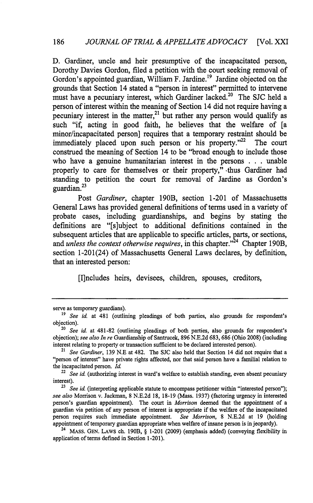D. Gardiner, uncle and heir presumptive of the incapacitated person, Dorothy Davies Gordon, filed a petition with the court seeking removal of Gordon's appointed guardian, William F. Jardine.<sup>19</sup> Jardine objected on the grounds that Section 14 stated a "person in interest" permitted to intervene must have a pecuniary interest, which Gardiner lacked.<sup>20</sup> The SJC held a person of interest within the meaning of Section 14 did not require having a pecuniary interest in the matter, $21$  but rather any person would qualify as such "if, acting in good faith, he believes that the welfare of [a minor/incapacitated person] requires that a temporary restraint should be immediately placed upon such person or his property. $12^2$  The court construed the meaning of Section 14 to be "broad enough to include those who have a genuine humanitarian interest in the persons . . . unable properly to care for themselves or their property," thus Gardiner had standing to petition the court for removal of Jardine as Gordon's guardian. $2^3$ 

Post *Gardiner,* chapter 190B, section 1-201 of Massachusetts General Laws has provided general definitions of terms used in a variety of probate cases, including guardianships, and begins by stating the definitions are "[s]ubject to additional definitions contained in the subsequent articles that are applicable to specific articles, parts, or sections, and *unless the context otherwise requires*, in this chapter."<sup>24</sup> Chapter 190B, section 1-201(24) of Massachusetts General Laws declares, by definition, that an interested person:

[I]ncludes heirs, devisees, children, spouses, creditors,

serve as temporary guardians).

**<sup>19</sup>** *See id.* at 481 (outlining pleadings of both parties, also grounds for respondent's objection).

*<sup>20</sup>See* id. at 481-82 (outlining pleadings of both parties, also grounds for respondent's objection); *see also In re* Guardianship of Santrucek, 896 N.E.2d 683, 686 (Ohio 2008) (including interest relating to property or transaction sufficient to be declared interested person).

<sup>21</sup>*See Gardiner,* 139 N.E at 482. The SJC also held that Section 14 did not require that a "person of interest" have private rights affected, nor that said person have a familial relation to the incapacitated person. **Id.**

<sup>&</sup>lt;sup>22</sup> See id. (authorizing interest in ward's welfare to establish standing, even absent pecuniary interest).

<sup>&</sup>lt;sup>23</sup> *See id.* (interpreting applicable statute to encompass petitioner within "interested person"); *see also* Morrison v. Jackman, 8 N.E.2d 18, 18-19 (Mass. 1937) (factoring urgency in interested person's guardian appointment). The court in *Morrison* deemed that the appointment of a guardian via petition of any person of interest is appropriate if the welfare of the incapacitated person requires such immediate appointment. *See Morrison,* 8 N.E.2d at 19 (holding appointment of temporary guardian appropriate when welfare of insane person is in jeopardy).

<sup>24</sup> MASS. GEN. LAWS ch. 190B, § 1-201 (2009) (emphasis added) (conveying flexibility in application of terms defined in Section 1-201).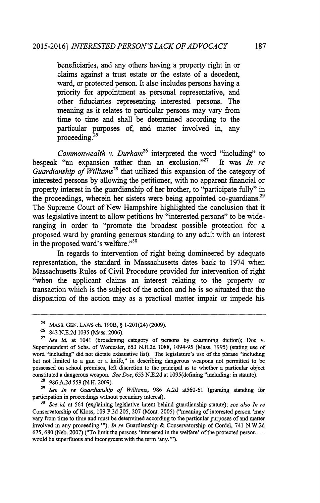beneficiaries, and any others having a property right in or claims against a trust estate or the estate of a decedent, ward, or protected person. It also includes persons having a priority for appointment as personal representative, and other fiduciaries representing interested persons. The meaning as it relates to particular persons may vary from time to time and shall be determined according to the particular purposes of, and matter involved in, any proceeding.<sup>25</sup>

*Commonwealth v. Durham*<sup>26</sup> interpreted the word "including" to bespeak "an expansion rather than an exclusion."<sup>27</sup> It was *In re Guardianship of Williams<sup>28</sup>*that utilized this expansion of the category of interested persons by allowing the petitioner, with no apparent financial or property interest in the guardianship of her brother, to "participate fully" in the proceedings, wherein her sisters were being appointed co-guardians.<sup>29</sup> The Supreme Court of New Hampshire highlighted the conclusion that it was legislative intent to allow petitions by "interested persons" to be wideranging in order to "promote the broadest possible protection for a proposed ward by granting generous standing to any adult with an interest in the proposed ward's welfare."<sup>30</sup>

In regards to intervention of right being domineered by adequate representation, the standard in Massachusetts dates back to 1974 when Massachusetts Rules of Civil Procedure provided for intervention of right "when the applicant claims an interest relating to the property or transaction which is the subject of the action and he is so situated that the disposition of the action may as a practical matter impair or impede his

**<sup>25</sup>**MASS. GEN. LAWS ch. 190B, § 1-201(24) (2009).

**<sup>-26</sup>** 843 N.E.2d 1035 (Mass. 2006).

**<sup>27</sup>** *See id.* at 1041 (broadening category of persons by examining diction); Doe v. Superintendent of Schs. of Worcester, 653 N.E.2d 1088, 1094-95 (Mass. 1995) (stating use of word "including" did not dictate exhaustive list). The legislature's use of the phrase "including but not limited to a gun or a knife," in describing dangerous weapons not permitted to be possessed on school premises, left discretion to the principal as to whether a particular object constituted a dangerous weapon. *See Doe,* 653 N.E.2d at 1095(defining "including: in statute).

**<sup>25</sup>**986 A.2d *559* (N.H. 2009).

**<sup>29</sup>***See In re* Guardianship of *Williams,* 986 A.2d at560-61 (granting standing for participation in proceedings without pecuniary interest).

**<sup>30</sup>***See id.* at 564 (explaining legislative intent behind guardianship statute); see *also In re* Conservatorship of Kloss, 109 P.3d 205, 207 (Mont. 2005) ("meaning of interested person 'may vary from time to time and must be determined according to the particular purposes of and matter involved in any proceeding."'); *In re* Guardianship & Conservatorship of Cordel, 741 N.W.2d 675, 680 (Neb. 2007) ("To limit the persons 'interested in the welfare' of the protected person... would be superfluous and incongruent with the term 'any."').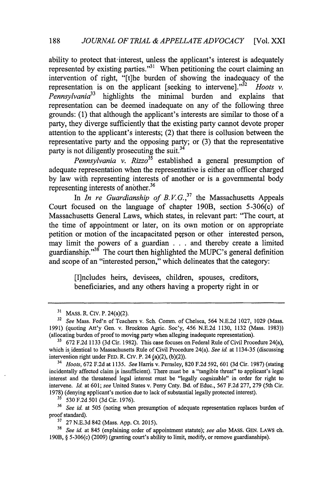ability to protect that interest, unless the applicant's interest is adequately represented by existing parties."<sup>31</sup> When petitioning the court claiming an intervention of right, "[t]he burden of showing the inadequacy of the representation is on the applicant [seeking to intervene].<sup>332</sup> *Hoots v. Pennsylvania33* highlights the minimal burden and explains that representation can be deemed inadequate on any of the following three grounds: (1) that although the applicant's interests are similar to those of a party, they diverge sufficiently that the existing party cannot devote proper attention to the applicant's interests; (2) that there is collusion between the representative party and the opposing party; or (3) that the representative party is not diligently prosecuting the suit.<sup>34</sup>

*Pennsylvania v. Rizzo*<sup>35</sup> established a general presumption of adequate representation when the representative is either an officer charged by law with representing interests of another or is a governmental body representing interests of another.<sup>36</sup>

In *In re Guardianship of B.V.G.*<sup>37</sup> the Massachusetts Appeals Court focused on the language of chapter 190B, section 5-306(c) of Massachusetts General Laws, which states, in relevant part: "The court, at the time of appointment or later, on its own motion or on appropriate petition or motion of the incapacitated person or other interested person, may limit the powers of a guardian . . . and thereby create a limited guardianship."<sup>38</sup> The court then highlighted the MUPC's general definition and scope of an "interested person," which delineates that the category:

> [I]ncludes heirs, devisees, children, spouses, creditors, beneficiaries, and any others having a property right in or

**<sup>31</sup>** MASS. R. Civ. P. 24(a)(2).

**<sup>32</sup>***See* Mass. Fed'n of Teachers v. Sch. Comm. of Chelsea, 564 N.E.2d 1027, 1029 (Mass. 1991) (quoting Att'y Gen. v. Brockton Agric. Soc'y, 456 N.E.2d 1130, 1132 (Mass. 1983)) (allocating burden of proof to moviqg party when alleging inadequate representation).

**<sup>3</sup>** 672 F.2d 1133 (3d Cir. 1982). This case focuses on Federal Rule of Civil Procedure 24(a), which is identical to Massachusetts Rule of Civil Procedure 24(a). *See id.* at 1134-35 (discussing intervention right under FED. R. CIV. P. 24 (a)(2), **(b)(2)).**

<sup>34</sup>*Hoots,* 672 F.2d at 1135. *See* Harris v. Pemsley, 820 F.2d 592, 601 (3d Cir. 1987) (stating incidentally affected claim 's insufficient). There must be a "tangible threat" to applicant's legal interest and the threatened legal interest must be "legally cognizable" in order for right to intervene. *Id.* at 601; *see* United States v. Perry Cnty. Bd. of Educ., 567 F.2d 277, 279 (5th Cir. 1978) (denying applicant's motion due to lack of substantial legally protected interest).

**<sup>&</sup>quot;** 530 F.2d 501 (3d Cir. 1976).

**<sup>36</sup>***See id.* at 505 (noting when presumption of adequate representation replaces burden of proof standard).

**<sup>17</sup>**27 N.E.3d 842 (Mass. App. Ct. 2015).

*<sup>38</sup>See id.* at 845 (explaining order of appointment statute); *see also* MASS. GEN. LAws ch. 190B, § 5-306(c) (2009) (granting court's ability to limit, modify, or remove guardianships).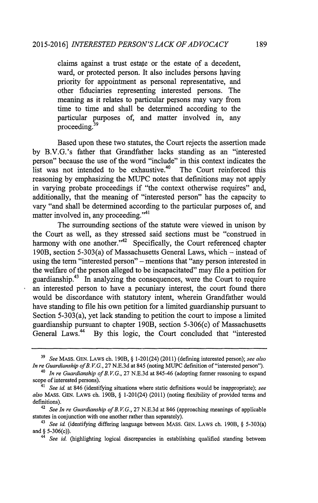claims against a trust estate or the estate of a decedent, ward, or protected person. It also includes persons having priority for appointment as personal representative, and other fiduciaries representing interested persons. The meaning as it relates to particular persons may vary from time to time and shall be determined according to the particular purposes of, and matter involved in, any proceeding.<sup>39</sup>

Based upon these two statutes, the Court rejects the assertion made by B.V.G.'s father that Grandfather lacks standing as an "interested person" because the use of the word "include" in this context indicates the list was not intended to be exhaustive.<sup>40</sup> The Court reinforced this reasoning by emphasizing the MUPC notes that definitions may not apply in varying probate proceedings if "the context otherwise requires" and, additionally, that the meaning of "interested person" has the capacity to vary "and shall be determined according to the particular purposes of, and matter involved in, any proceeding."<sup>41</sup>

The surrounding sections of the statute were viewed in unison by the Court as well, as they stressed said sections must be "construed in harmony with one another."<sup>42</sup> Specifically, the Court referenced chapter 190B, section 5-303(a) of Massachusetts General Laws, which - instead of using the term "interested person" - mentions that "any person interested in the welfare of the person alleged to be incapacitated" may file a petition for guardianship.43 In analyzing the consequences, were the Court to require an interested person to have a pecuniary interest, the court found there would be discordance with statutory intent, wherein Grandfather would have standing to file his own petition for a limited guardianship pursuant to Section 5-303(a), yet lack standing to petition the court to impose a limited guardianship pursuant to chapter 190B, section 5-306(c) of Massachusetts<br>General Laws.<sup>44</sup> By this logic, the Court concluded that "interested By this logic, the Court concluded that "interested"

**<sup>39</sup>** *See* MASS. GEN. LAWS ch. 190B, § 1-201(24) (2011) (defining interested person); *see also In re Guardianship ofB. V.G.,* 27 N.E.3d at 845 (noting MUPC definition of "interested person").

<sup>40</sup>*In re Guardianship ofB. V.G.,* 27 N.E.3d at 845-46 (adopting former reasoning to expand scope of interested persons).<br> $\frac{41}{2}$  Sec. id. at 846 (identified)

<sup>41</sup> *See* id. at 846 (identifying situations where static definitions would be inappropriate); *see also* MASS. GEN. LAWS ch. 190B, § 1-201(24) (2011) (noting flexibility of provided terms and definitions).

**<sup>42</sup>***See In re Guardianship of B. V.G.,* 27 N.E.3d at 846 (approaching meanings of applicable statutes in conjunction with one another rather than separately).

<sup>41</sup>*See id.* (identifying differing language between MASS. GEN. LAWS ch. 190B, § 5-303(a) and § 5-306(c)).

<sup>44</sup> *See id.* (highlighting logical discrepancies in establishing qualified standing between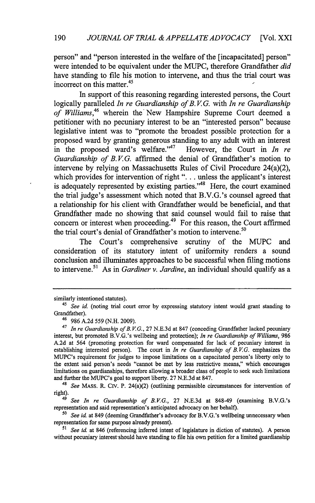person" and "person interested in the welfare of the [incapacitated] person" were intended to be equivalent under the MUPC, therefore Grandfather *did* have standing to file his motion to intervene, and thus the trial court was incorrect on this matter.<sup>45</sup>

In support of this reasoning regarding interested persons, the Court logically paralleled *In re Guardianship of B. V G.* with *In re Guardianship* of Williams,<sup>46</sup> wherein the New Hampshire Supreme Court deemed a petitioner with no pecuniary interest to be an "interested person" because legislative intent was to "promote the broadest possible protection for a proposed ward by granting generous standing to any adult with an interest in the proposed ward's welfare." $A^{7}$ <sup>7</sup>However, the Court in *In re* Guardianship of B.V.G. affirmed the denial of Grandfather's motion to intervene by relying on Massachusetts Rules of Civil Procedure 24(a)(2), which provides for intervention of right **"....** unless the applicant's interest is adequately represented by existing parties."<sup>48</sup> Here, the court examined the trial judge's assessment which noted that B.V.G.'s counsel agreed that a relationship for his client with Grandfather would be beneficial, and that Grandfather made no showing that said counsel would fail to raise that concern or interest when proceeding.<sup>49</sup> For this reason, the Court affirmed the trial court's denial of Grandfather's motion to intervene.<sup>50</sup>

The Court's comprehensive scrutiny of the MUPC and consideration of its statutory intent of uniformity renders a sound conclusion and illuminates approaches to be successful when filing motions to intervene.<sup>51</sup> As in *Gardiner v. Jardine*, an individual should qualify as a

*4' See In re Guardianship of B.V.G.,* **27** N.E.3d at 848-49 (examining B.V.G.'s representation and said representation's anticipated advocacy on her behalf).

*so See id.* at 849 (deeming Grandfather's advocacy for B.V.G.'s wellbeing unnecessary when representation for same purpose already present).

similarly intentioned statutes).

<sup>45</sup>*See id* (noting trial court error **by** expressing statutory intent would grant standing to Grandfather).

<sup>46</sup>986 A.2d *559* (N.H. 2009).

<sup>&</sup>lt;sup>47</sup> In re Guardianship of B.V.G., 27 N.E.3d at 847 (conceding Grandfather lacked pecuniary interest, but promoted B.V.G.'s wellbeing and protection); *In re Guardianship of Williams,* 986 A.2d at 564 (promoting protection for ward compensated for lack of pecuniary interest in establishing interested person). The court in *In re Guardianship of B. V.G.* emphasizes the MUPC's requirement for judges to impose limitations on a capacitated person's liberty only to the extent said person's needs "cannot be met **by** less restrictive means," which encourages limitations on guardianships, therefore allowing a broader class of people to seek such limitations and further the MUPC's goal to support liberty. 27 N.E.3d at **847.**

*<sup>48</sup>See* MASS. R. **Civ.** P. 24(a)(2) (outlining permissible circumstances for intervention of right).

*<sup>51</sup> See id.* at 846 (referencing inferred intent of legislature in diction of statutes). A person without pecuniary interest should have standing to file his own petition for a limited guardianship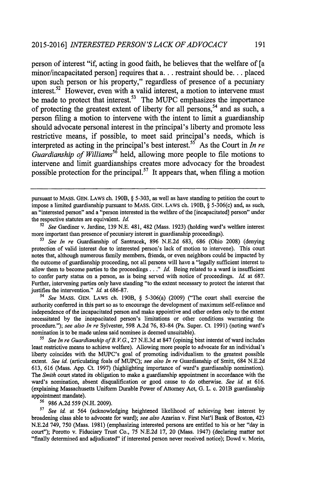person of interest "if, acting in good faith, he believes that the welfare of **[a** minor/incapacitated person] requires that **a...** restraint should **be...** placed upon such person or his property," regardless of presence of a pecuniary interest.<sup> $22$ </sup> However, even with a valid interest, a motion to intervene must be made to protect that interest.<sup>53</sup> The MUPC emphasizes the importance of protecting the greatest extent of liberty for all persons,<sup>54</sup> and as such, a person filing a motion to intervene with the intent to limit a guardianship should advocate personal interest in the principal's liberty and promote less restrictive means, if possible, to meet said principal's needs, which is interpreted as acting in the principal's best interest.<sup>55</sup> As the Court in *In re Guardianship of Williams<sup>56</sup>*held, allowing more people to file motions to intervene and limit guardianships creates more advocacy for the broadest possible protection for the principal.<sup>57</sup> It appears that, when filing a motion

**<sup>52</sup>***See* Gardiner v. Jardine, 139 N.E. 481, 482 (Mass. 1923) (holding ward's welfare interest more important than presence of pecuniary interest in guardianship proceedings).

*54 See* MASS. GEN. LAWS ch. 190B, § 5-306(a) (2009) ("The court shall exercise the authority conferred in this part so as to encourage the development of maximum self-reliance and independence of the incapacitated person and make appointive and other orders only to the extent necessitated **by** the incapacitated person's limitations or other conditions warranting the procedure."); *see also In re* Sylvester, **598** A.2d **76,** 83-84 (Pa. Super. Ct. 1991) (noting ward's nomination is to be made unless said nominee is deemed unsuitable).

*<sup>51</sup>See In re Guardianship ofB. V.G.,* **27** N.E.3d at **847** (opining best interest of ward includes least restrictive means to achieve welfare). Allowing more people to advocate for an individual's liberty coincides with the MUPC's goal of promoting individualism to the greatest possible extent. *See id.* (articulating foals of MUPC); *see also In re* Guardianship of Smitt, 684 N.E.2d 613, 616 (Mass. App. Ct. 1997) (highlighting importance of ward's guardianship nomination). *The Smith* court stated its obligation to make a guardianship appointment in accordance with the ward's nomination, absent disqualification or good cause to do otherwise. *See id.* at 616. (explaining Massachusetts Uniform Durable Power of Attorney Act, G. L. c. 201B guardianship appointment mandate).

**6** 986 A.2d 559 (N.H. 2009).

*<sup>57</sup>See id.* at 564 (acknowledging heightened likelihood of achieving best interest by broadening class able to advocate for ward); *see also* Azarian v. First Nat'l Bank of Boston, 423 N.E.2d 749, 750 (Mass. 1981) (emphasizing interested persons are entitled to his or her "day in court"); Porotto v. Fiduciary Trust Co., 75 N.E.2d 17, 20 (Mass. 1947) (declaring matter not "finally determined and adjudicated" if interested person never received notice); Dowd v. Morin,

pursuant to MASS. GEN. LAWS ch. 190B, § 5-303, as well as have standing to petition the court to impose a limited guardianship pursuant to MASS. GEN. LAWS ch. 190B, § 5-306(c) and, as such, an "interested person" and a "person interested in the welfare of the [incapacitated) person" under the respective statutes are equivalent, *Id.*

*<sup>53</sup>See In re* Guardianship of Santrucek, 896 N.E.2d 683, 686 (Ohio 2008) (denying protection of valid interest due to interested person's lack of motion to intervene). This court notes that, although numerous family members, friends, or even neighbors could be impacted **by** the outcome of guardianship proceeding, not all persons will have a "legally sufficient interest to allow them to become parties to the proceedings..." *Id.* Being related to a ward is insufficient to confer party status on a person, as is being served with notice of proceedings. *Id.* at 687. Further, intervening parties only have standing "to the extent necessary to protect the interest that justifies the intervention." *Id.* at 686-87.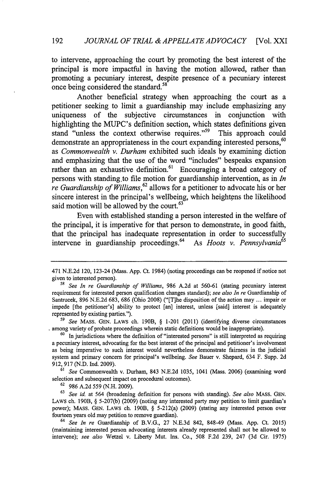to intervene, approaching the court by promoting the best interest of the principal is more impactful in having the motion allowed, rather than promoting a pecuniary interest, despite presence of a pecuniary interest once being considered the standard.<sup>58</sup>

Another beneficial strategy when approaching the court as a petitioner seeking to limit a guardianship may include emphasizing any uniqueness of the subjective circumstances in conjunction with highlighting the MUPC's definition section, which states definitions given stand "unless the context otherwise requires."<sup>59</sup> This approach could demonstrate an appropriateness in the court expanding interested persons,<sup>60</sup> as *Commonwealth v. Durham* exhibited such ideals by examining diction and emphasizing that the use of the word "includes" bespeaks expansion rather than an exhaustive definition.<sup>61</sup> Encouraging a broad category of persons with standing to file motion for guardianship intervention, as in *In re Guardianship of Williams,<sup>62</sup>*allows for a petitioner to advocate his or her sincere interest in the principal's wellbeing, which heightens the likelihood said motion will be allowed by the court. $63$ 

Even with established standing a person interested in the welfare of the principal, it is imperative for that person to demonstrate, in good faith, that the principal has inadequate representation in order to successfully intervene in guardianship proceedings.<sup>64</sup> As *Hoots v. Pennsylvania*<sup>65</sup>

**59** See MASS. GEN. LAWS ch. 190B, **§** 1-201 (2011) (identifying diverse circumstances among variety of probate proceedings wherein static definitions would be inappropriate).

<sup>60</sup> In jurisdictions where the definition of "interested persons" is still interpreted as requiring a pecuniary interest, advocating for the best interest of the principal and petitioner's involvement as being imperative to such interest would nevertheless demonstrate fairness in the judicial system and primary concern for principal's wellbeing. See Bauer v. Shepard, 634 F. Supp. 2d **912,** 917 (N.D. Ind. 2009).

**61** See Commonwealth v. Durham, 843 N.E.2d 1035, 1041 (Mass. 2006) (examining word selection and subsequent impact on procedural outcomes).

**<sup>62</sup>**986 A.2d 559 (N.H. 2009).

<sup>63</sup> See id. at 564 (broadening definition for persons with standing). See also MASS. GEN. LAWS ch. 190B, **§** 5-207(b) (2009) (noting any interested party may petition to limit guardian's power); MASS. GEN. LAWS ch. 190B, § 5-212(a) (2009) (stating any interested person over fourteen years old may petition to remove guardian).

 $64$  See In re Guardianship of B.V.G., 27 N.E.3d 842, 848-49 (Mass. App. Ct. 2015) (maintaining interested person advocating interests already represented shall not be allowed to intervene); see also Wetzel v. Liberty Mut. Ins. Co., 508 F.2d 239, 247 (3d Cir. 1975)

<sup>471</sup> N.E.2d 120, 123-24 (Mass. App. Ct. 1984) (noting proceedings can be reopened if notice not given to interested person).

<sup>&</sup>lt;sup>58</sup> See In re Guardianship of Williams, 986 A.2d at 560-61 (stating pecuniary interest requirement for interested person qualification changes standard); see also In re Guardianship of Santrucek, 896 N.E.2d 683, 686 (Ohio 2008) ("[T]he disposition of the action may ... impair or impede [the petitioner's) ability to protect [an] interest, unless [said] interest is adequately represented by existing parties.").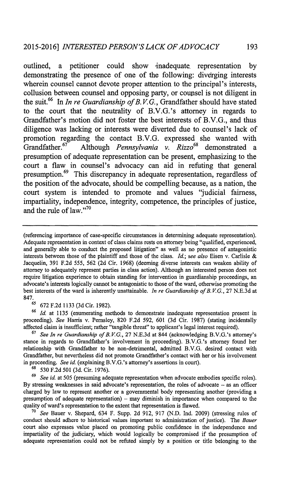outlined, a petitioner could show inadequate representation **by** demonstrating the presence of one of the following: diverging interests wherein counsel cannot devote proper attention to the principal's interests, collusion between counsel and opposing party, or counsel is not diligent in the suit.66 In *In re Guardianship of B. V. G.,* Grandfather should have stated to the court that the neutrality of B.V.G.'s attorney in regards to Grandfather's motion did not foster the best interests of B.V.G., and thus diligence was lacking or interests were diverted due to counsel's lack of promotion regarding the contact B.V.G. expressed she wanted with Grandfather.<sup>67</sup> Although *Pennsylvania v. Rizzo*<sup>68</sup> demonstrated a presumption of adequate representation can be present, emphasizing to the court a flaw in counsel's advocacy can aid in refuting that general presumption.<sup>69</sup> This discrepancy in adequate representation, regardless of the position of the advocate, should be compelling because, as a nation, the court system is intended to promote and values "judicial fairness, impartiality, independence, integrity, competence, the principles of justice, and the rule of law."<sup>70</sup>

*<sup>65</sup>*672 F.2d 1133 (3d Cir. 1982).

**66** *Id* at 1135 (enumerating methods to demonstrate inadequate representation present in proceeding). *See* Harris v. Pernsley, 820 F.2d 592, 601 (3d Cir. 1987) (stating incidentally affected claim is insufficient; rather "tangible threat" to applicant's legal interest required).

<sup>67</sup> See In re Guardianship of B.V.G., 27 N.E.3d at 844 (acknowledging B.V.G.'s attorney's stance in regards to Grandfather's involvement in proceeding). B.V.G.'s attorney found her relationship with Grandfather to be non-detrimental, admitted B.V.G. desired contact with Grandfather, but nevertheless did not promote Grandfather's contact with her or his involvement in proceeding. *See id.* (explaining B.V.G.'s attorney's assertions in court).

*<sup>68</sup>*530 F.2d 501 (3d. Cir. 1976).

**69** *See id.* at 505 (presuming adequate representation when advocate embodies specific roles). By stressing weaknesses in said advocate's representation, the roles of advocate - as an officer charged by law to represent another or a governmental body representing another (providing a presumption of adequate representation) **-** may diminish in importance when compared to the quality of ward's representation to the extent that representation is flawed.

<sup>70</sup>*See* Bauer v. Shepard, 634 F. Supp. 2d 912, 917 **(N.D.** Ind. 2009) (stressing rules of conduct should adhere to historical values important to administration of justice). The *Bauer* court also expresses value placed on promoting public confidence in the independence and impartiality of the judiciary, which would logically be compromised if the presumption of adequate representation could not be refuted simply by a position or title belonging to the

<sup>(</sup>referencing importance of case-specific circumstances in determining adequate representation). Adequate representation in context of class claims rests on attorney being "qualified, experienced, and generally able to conduct the proposed litigation" as well as no presence of antagonistic interests between those of the plaintiff and those of the class. *Id.; see also* Eisen v. Carlisle & Jacquelin, 391 F.2d 555, 562 (2d Cir. 1968) (deeming diverse interests can weaken ability of attorney to adequately represent parties in class action). Although an interested person does not require litigation experience to obtain standing for intervention in guardianship proceedings, an advocate's interests logically cannot be antagonistic to those of the ward, otherwise promoting the best interests of the ward is inherently unattainable. *In re Guardianship ofB. V.G.,* 27 N.E.3d at 847.